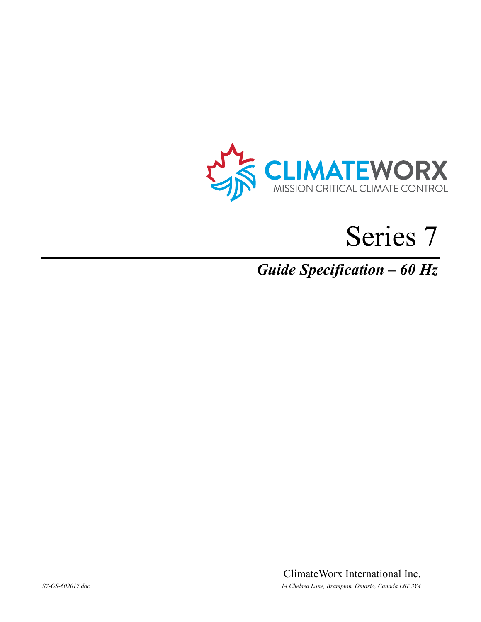



# *Guide Specification – 60 Hz*

ClimateWorx International Inc. *S7-GS-602017.doc 14 Chelsea Lane, Brampton, Ontario, Canada L6T 3Y4*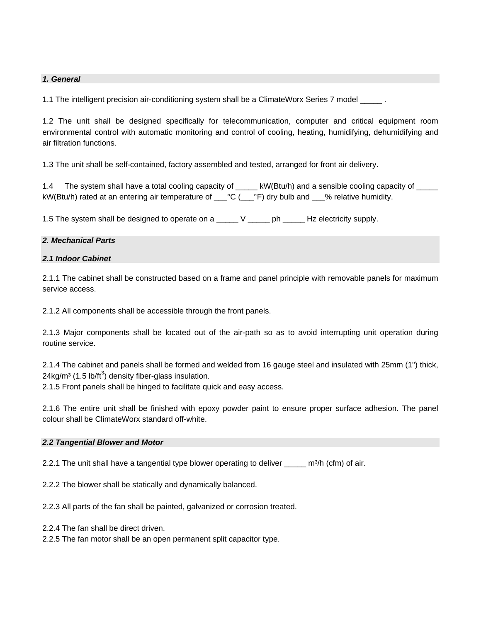# *1. General*

1.1 The intelligent precision air-conditioning system shall be a ClimateWorx Series 7 model \_\_\_\_\_.

1.2 The unit shall be designed specifically for telecommunication, computer and critical equipment room environmental control with automatic monitoring and control of cooling, heating, humidifying, dehumidifying and air filtration functions.

1.3 The unit shall be self-contained, factory assembled and tested, arranged for front air delivery.

1.4 The system shall have a total cooling capacity of  $\cdot$  kW(Btu/h) and a sensible cooling capacity of kW(Btu/h) rated at an entering air temperature of \_\_\_°C (\_\_\_°F) dry bulb and \_\_\_% relative humidity.

1.5 The system shall be designed to operate on a \_\_\_\_\_\_ V \_\_\_\_\_\_ ph \_\_\_\_\_\_ Hz electricity supply.

#### *2. Mechanical Parts*

# *2.1 Indoor Cabinet*

2.1.1 The cabinet shall be constructed based on a frame and panel principle with removable panels for maximum service access.

2.1.2 All components shall be accessible through the front panels.

2.1.3 Major components shall be located out of the air-path so as to avoid interrupting unit operation during routine service.

2.1.4 The cabinet and panels shall be formed and welded from 16 gauge steel and insulated with 25mm (1") thick, 24kg/m<sup>3</sup> (1.5 lb/ft<sup>3</sup>) density fiber-glass insulation.

2.1.5 Front panels shall be hinged to facilitate quick and easy access.

2.1.6 The entire unit shall be finished with epoxy powder paint to ensure proper surface adhesion. The panel colour shall be ClimateWorx standard off-white.

#### *2.2 Tangential Blower and Motor*

2.2.1 The unit shall have a tangential type blower operating to deliver  $m^3/h$  (cfm) of air.

2.2.2 The blower shall be statically and dynamically balanced.

2.2.3 All parts of the fan shall be painted, galvanized or corrosion treated.

2.2.4 The fan shall be direct driven.

2.2.5 The fan motor shall be an open permanent split capacitor type.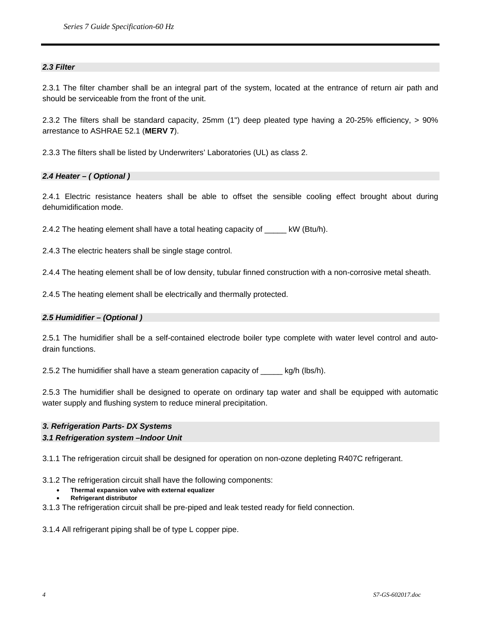# *2.3 Filter*

2.3.1 The filter chamber shall be an integral part of the system, located at the entrance of return air path and should be serviceable from the front of the unit.

2.3.2 The filters shall be standard capacity, 25mm (1") deep pleated type having a 20-25% efficiency, > 90% arrestance to ASHRAE 52.1 (**MERV 7**).

2.3.3 The filters shall be listed by Underwriters' Laboratories (UL) as class 2.

# *2.4 Heater – ( Optional )*

2.4.1 Electric resistance heaters shall be able to offset the sensible cooling effect brought about during dehumidification mode.

2.4.2 The heating element shall have a total heating capacity of \_\_\_\_\_ kW (Btu/h).

2.4.3 The electric heaters shall be single stage control.

2.4.4 The heating element shall be of low density, tubular finned construction with a non-corrosive metal sheath.

2.4.5 The heating element shall be electrically and thermally protected.

#### *2.5 Humidifier – (Optional )*

2.5.1 The humidifier shall be a self-contained electrode boiler type complete with water level control and autodrain functions.

2.5.2 The humidifier shall have a steam generation capacity of \_\_\_\_\_ kg/h (lbs/h).

2.5.3 The humidifier shall be designed to operate on ordinary tap water and shall be equipped with automatic water supply and flushing system to reduce mineral precipitation.

#### *3. Refrigeration Parts- DX Systems*

#### *3.1 Refrigeration system –Indoor Unit*

3.1.1 The refrigeration circuit shall be designed for operation on non-ozone depleting R407C refrigerant.

3.1.2 The refrigeration circuit shall have the following components:

- **Thermal expansion valve with external equalizer** 
	- **Refrigerant distributor**
- 3.1.3 The refrigeration circuit shall be pre-piped and leak tested ready for field connection.

3.1.4 All refrigerant piping shall be of type L copper pipe.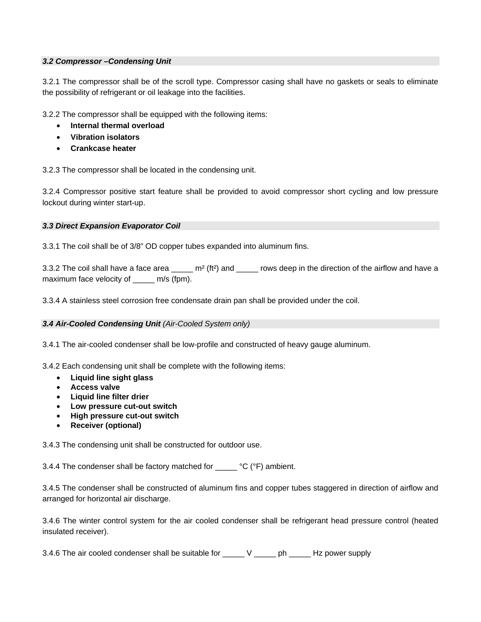# *3.2 Compressor –Condensing Unit*

3.2.1 The compressor shall be of the scroll type. Compressor casing shall have no gaskets or seals to eliminate the possibility of refrigerant or oil leakage into the facilities.

3.2.2 The compressor shall be equipped with the following items:

- **Internal thermal overload**
- **Vibration isolators**
- **Crankcase heater**

3.2.3 The compressor shall be located in the condensing unit.

3.2.4 Compressor positive start feature shall be provided to avoid compressor short cycling and low pressure lockout during winter start-up.

# *3.3 Direct Expansion Evaporator Coil*

3.3.1 The coil shall be of 3/8" OD copper tubes expanded into aluminum fins.

3.3.2 The coil shall have a face area \_\_\_\_\_ m<sup>2</sup> (ft<sup>2</sup>) and \_\_\_\_\_ rows deep in the direction of the airflow and have a maximum face velocity of \_\_\_\_\_ m/s (fpm).

3.3.4 A stainless steel corrosion free condensate drain pan shall be provided under the coil.

#### *3.4 Air-Cooled Condensing Unit (Air-Cooled System only)*

3.4.1 The air-cooled condenser shall be low-profile and constructed of heavy gauge aluminum.

3.4.2 Each condensing unit shall be complete with the following items:

- **Liquid line sight glass**
- **Access valve**
- **Liquid line filter drier**
- **Low pressure cut-out switch**
- **High pressure cut-out switch**
- **Receiver (optional)**

3.4.3 The condensing unit shall be constructed for outdoor use.

3.4.4 The condenser shall be factory matched for  $\text{---}$  °C (°F) ambient.

3.4.5 The condenser shall be constructed of aluminum fins and copper tubes staggered in direction of airflow and arranged for horizontal air discharge.

3.4.6 The winter control system for the air cooled condenser shall be refrigerant head pressure control (heated insulated receiver).

3.4.6 The air cooled condenser shall be suitable for \_\_\_\_\_ V \_\_\_\_\_ ph \_\_\_\_\_ Hz power supply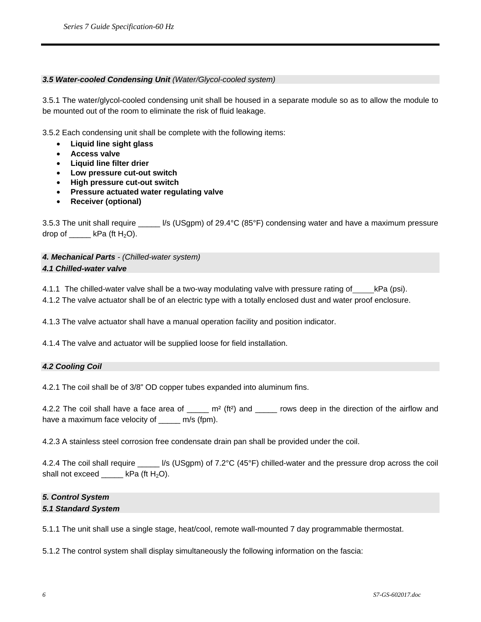# *3.5 Water-cooled Condensing Unit (Water/Glycol-cooled system)*

3.5.1 The water/glycol-cooled condensing unit shall be housed in a separate module so as to allow the module to be mounted out of the room to eliminate the risk of fluid leakage.

3.5.2 Each condensing unit shall be complete with the following items:

- **Liquid line sight glass**
- **Access valve**
- **Liquid line filter drier**
- **Low pressure cut-out switch**
- **High pressure cut-out switch**
- **Pressure actuated water regulating valve**
- **Receiver (optional)**

3.5.3 The unit shall require \_\_\_\_\_ l/s (USgpm) of 29.4°C (85°F) condensing water and have a maximum pressure drop of  $\_\_\_\$  kPa (ft H<sub>2</sub>O).

# *4. Mechanical Parts - (Chilled-water system) 4.1 Chilled-water valve*

4.1.1 The chilled-water valve shall be a two-way modulating valve with pressure rating of \_\_\_\_\_kPa (psi).

4.1.2 The valve actuator shall be of an electric type with a totally enclosed dust and water proof enclosure.

4.1.3 The valve actuator shall have a manual operation facility and position indicator.

4.1.4 The valve and actuator will be supplied loose for field installation.

#### *4.2 Cooling Coil*

4.2.1 The coil shall be of 3/8" OD copper tubes expanded into aluminum fins.

4.2.2 The coil shall have a face area of  $\mu$  m<sup>2</sup> (ft<sup>2</sup>) and  $\mu$  rows deep in the direction of the airflow and have a maximum face velocity of m/s (fpm).

4.2.3 A stainless steel corrosion free condensate drain pan shall be provided under the coil.

4.2.4 The coil shall require  $\frac{1}{s}$  (USgpm) of 7.2°C (45°F) chilled-water and the pressure drop across the coil shall not exceed  $\_\_\_\_\$  kPa (ft H<sub>2</sub>O).

# *5. Control System 5.1 Standard System*

5.1.1 The unit shall use a single stage, heat/cool, remote wall-mounted 7 day programmable thermostat.

5.1.2 The control system shall display simultaneously the following information on the fascia: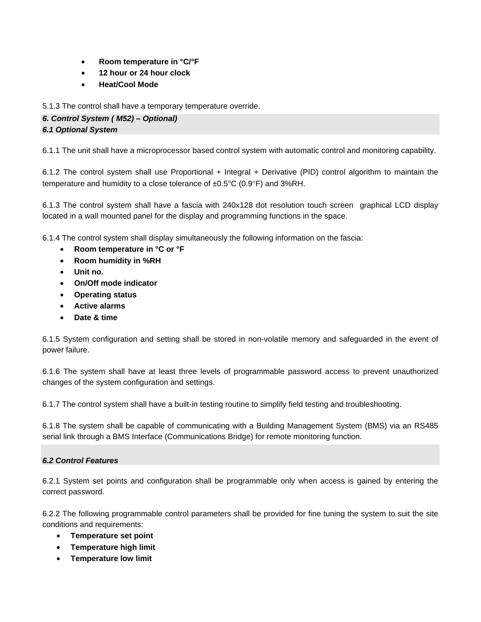- **Room temperature in °C/°F**
- **12 hour or 24 hour clock**
- **Heat/Cool Mode**

5.1.3 The control shall have a temporary temperature override.

*6. Control System ( M52) – Optional)* 

# *6.1 Optional System*

6.1.1 The unit shall have a microprocessor based control system with automatic control and monitoring capability.

6.1.2 The control system shall use Proportional + Integral + Derivative (PID) control algorithm to maintain the temperature and humidity to a close tolerance of ±0.5°C (0.9°F) and 3%RH.

6.1.3 The control system shall have a fascia with 240x128 dot resolution touch screen graphical LCD display located in a wall mounted panel for the display and programming functions in the space.

6.1.4 The control system shall display simultaneously the following information on the fascia:

- **Room temperature in °C or °F**
- **Room humidity in %RH**
- **Unit no.**
- **On/Off mode indicator**
- **Operating status**
- **Active alarms**
- **Date & time**

6.1.5 System configuration and setting shall be stored in non-volatile memory and safeguarded in the event of power failure.

6.1.6 The system shall have at least three levels of programmable password access to prevent unauthorized changes of the system configuration and settings.

6.1.7 The control system shall have a built-in testing routine to simplify field testing and troubleshooting.

6.1.8 The system shall be capable of communicating with a Building Management System (BMS) via an RS485 serial link through a BMS Interface (Communications Bridge) for remote monitoring function.

# *6.2 Control Features*

6.2.1 System set points and configuration shall be programmable only when access is gained by entering the correct password.

6.2.2 The following programmable control parameters shall be provided for fine tuning the system to suit the site conditions and requirements:

- **Temperature set point**
- **Temperature high limit**
- **Temperature low limit**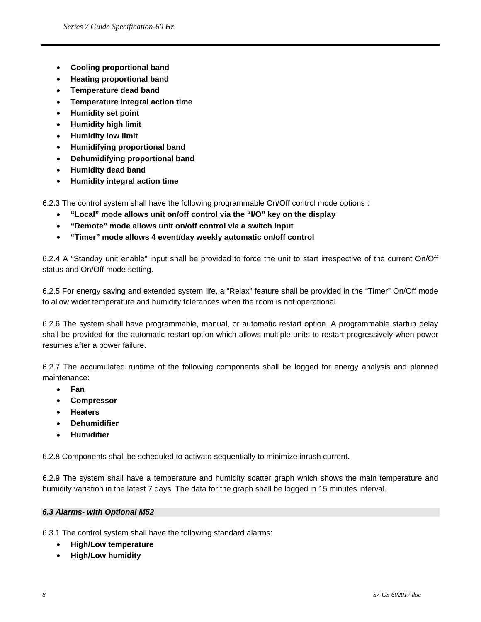- **Cooling proportional band**
- **Heating proportional band**
- **Temperature dead band**
- **Temperature integral action time**
- **Humidity set point**
- **Humidity high limit**
- **Humidity low limit**
- **Humidifying proportional band**
- **Dehumidifying proportional band**
- **Humidity dead band**
- **Humidity integral action time**

6.2.3 The control system shall have the following programmable On/Off control mode options :

- **"Local" mode allows unit on/off control via the "I/O" key on the display**
- **"Remote" mode allows unit on/off control via a switch input**
- **"Timer" mode allows 4 event/day weekly automatic on/off control**

6.2.4 A "Standby unit enable" input shall be provided to force the unit to start irrespective of the current On/Off status and On/Off mode setting.

6.2.5 For energy saving and extended system life, a "Relax" feature shall be provided in the "Timer" On/Off mode to allow wider temperature and humidity tolerances when the room is not operational.

6.2.6 The system shall have programmable, manual, or automatic restart option. A programmable startup delay shall be provided for the automatic restart option which allows multiple units to restart progressively when power resumes after a power failure.

6.2.7 The accumulated runtime of the following components shall be logged for energy analysis and planned maintenance:

- **Fan**
- **Compressor**
- **Heaters**
- **Dehumidifier**
- **Humidifier**

6.2.8 Components shall be scheduled to activate sequentially to minimize inrush current.

6.2.9 The system shall have a temperature and humidity scatter graph which shows the main temperature and humidity variation in the latest 7 days. The data for the graph shall be logged in 15 minutes interval.

#### *6.3 Alarms- with Optional M52*

6.3.1 The control system shall have the following standard alarms:

- **High/Low temperature**
- **High/Low humidity**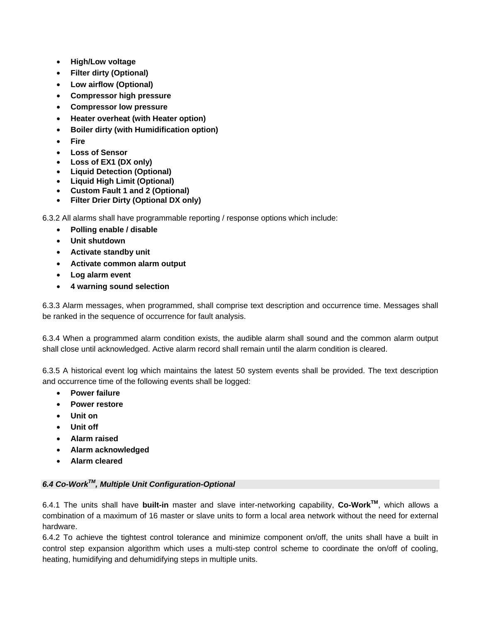- **High/Low voltage**
- **Filter dirty (Optional)**
- **Low airflow (Optional)**
- **Compressor high pressure**
- **Compressor low pressure**
- **Heater overheat (with Heater option)**
- **Boiler dirty (with Humidification option)**
- **Fire**
- **Loss of Sensor**
- **Loss of EX1 (DX only)**
- **Liquid Detection (Optional)**
- **Liquid High Limit (Optional)**
- **Custom Fault 1 and 2 (Optional)**
- **Filter Drier Dirty (Optional DX only)**

6.3.2 All alarms shall have programmable reporting / response options which include:

- **Polling enable / disable**
- **Unit shutdown**
- **Activate standby unit**
- **Activate common alarm output**
- **Log alarm event**
- **4 warning sound selection**

6.3.3 Alarm messages, when programmed, shall comprise text description and occurrence time. Messages shall be ranked in the sequence of occurrence for fault analysis.

6.3.4 When a programmed alarm condition exists, the audible alarm shall sound and the common alarm output shall close until acknowledged. Active alarm record shall remain until the alarm condition is cleared.

6.3.5 A historical event log which maintains the latest 50 system events shall be provided. The text description and occurrence time of the following events shall be logged:

- **Power failure**
- **Power restore**
- **Unit on**
- **Unit off**
- **Alarm raised**
- **Alarm acknowledged**
- **Alarm cleared**

# *6.4 Co-WorkTM, Multiple Unit Configuration-Optional*

6.4.1 The units shall have **built-in** master and slave inter-networking capability, **Co-WorkTM**, which allows a combination of a maximum of 16 master or slave units to form a local area network without the need for external hardware.

6.4.2 To achieve the tightest control tolerance and minimize component on/off, the units shall have a built in control step expansion algorithm which uses a multi-step control scheme to coordinate the on/off of cooling, heating, humidifying and dehumidifying steps in multiple units.